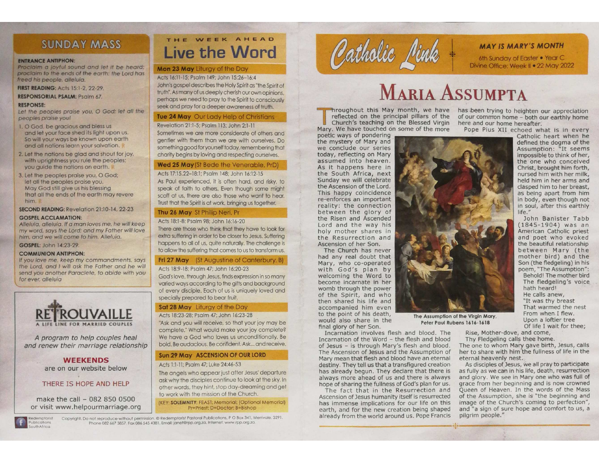## **SUNDAY MASS**

#### **ENTRANCE ANTIPHON:**

Proclaim a joyful sound and let it be heard; proclaim to the ends of the earth: the Lord has freed his people, alleluia.

**FIRST READING: Acts 15:1-2, 22-29.** 

#### **RESPONSORIAL PSALM: Psalm 67.**

#### **RESPONSE:**

Let the peoples praise you, O God; let all the peoples praise you!

- 1. O God, be gracious and bless us and let your face shed its light upon us. So will your ways be known upon earth and all nations learn your salvation.
- 2. Let the nations be glad and shout for joy, with uprightness you rule the peoples: you quide the nations on earth.
- 3. Let the peoples praise you, O God; let all the peoples praise you. May God still aive us his blessing that all the ends of the earth may revere him.

SECOND READING: Revelation 21:10-14, 22-23

#### **GOSPEL ACCLAMATION:**

Alleluia, alleluia. If a man loves me, he will keep my word, says the Lord; and my Father will love him, and we will come to him. Alleluia.

GOSPEL: John 14:23-29.

#### **COMMUNION ANTIPHON:**

If you love me, keep my commandments, says the Lord, and I will ask the Father and he will send you another Paraclete, to abide with you for ever, alleluia



A program to help couples heal and renew their marriage relationship

#### **WEEKENDS** are on our website below

THERE IS HOPE AND HELP

make the call - 082 850 0500 or visit www.helpourmarriage.org



## THE WEEK AHEAD **Live the Word**

#### Mon 23 May Lituray of the Day

Acts 16:11-15: Psalm 149: John 15:26-16:4

John's gospel describes the Holy Spirit as "the Spirit of truth". As many of us deeply cherish our own opinions. perhaps we need to pray to the Spirit to consciously seek and pray for a deeper awareness of truth.

#### Tue 24 May Our Lady Help of Christians

#### Revelation 21:1-5; Psalm 113; John 2:1-11

Sometimes we are more considerate of others and gentler with them than we are with ourselves. Do something good for yourself today, remembering that charity begins by loving and respecting ourselves.

#### Wed 25 May (St Bede the Venerable, PrD)

#### Acts 17:15.22-18:1; Psalm 148; John 16:12-15

As Paul experienced, it is often hard, and risky, to speak of faith to others. Even though some might scoff at us, there are also those who want to hear. Trust that the Spirit is at work, bringing us together.

#### Thu 26 May St Philip Neri, Pr

#### Acts 18:1-8: Psalm 98: John 16:16-20

There are those who think that they have to look for extra suffering in order to be closer to Jesus. Suffering happens to all of us, quite naturally. The challenge is to allow the suffering that comes to us to transform us.

#### Fri 27 May (St Augustine of Canterbury, B)

#### Acts 18:9-18: Psalm 47: John 16:20-23

God's love, through Jesus, finds expression in so many varied ways according to the gifts and background of every disciple. Each of us is uniquely loved and specially prepared to bear fruit.

#### Sat 28 May Liturgy of the Day

#### Acts 18:23-28: Psalm 47: John 16:23-28

"Ask and you will receive, so that your joy may be complete." What would make your joy complete? We have a God who loves us unconditionally. Be bold. Be audacious. Be confident. Ask... and receive.

#### Sun 29 May ASCENSION OF OUR LORD

#### Acts 1:1-11: Psalm 47: Luke 24:46-53

The angels who appear just after Jesus' departure ask why the disciples continue to look at the sky. In other words, they hint, stop day-dreaming and get to work with the mission of the Church.

(KEY: SOLEMNITY: FEAST; Memorial; (Optional Memorial) Pr=Priest: D=Doctor: B=Bishop

Copyright. Do not reproduce without permission. @ Redemptorist Pastoral Publications, P O Box 341, Merrivale, 3291. Phone 082 667 3857 Fax 086 545 4381. Email: janet@rpp.org.za. Internet: www.rpp.org.za.



### **MAY IS MARY'S MONTH**

6th Sunday of Easter • Year C Divine Office: Week II . 22 May 2022

# **MARIA ASSUMPTA**

reflected on the principal pillars of the Church's teaching on the Blessed Virgin Mary. We have touched on some of the more

poetic ways of pondering the mystery of Mary and we conclude our series today, reflecting on Mary assumed into heaven. As it happens here in the South Africa, next Sunday we will celebrate the Ascension of the Lord. This happy coincidence re-enforces an important reality: the connection between the glory of the Risen and Ascended Lord and the way his holy mother shares in the Resurrection and Ascension of her Son.

The Church has never had any real doubt that Mary, who co-operated with God's plan by welcoming the Word to become incarnate in her womb through the power of the Spirit, and who then shared his life and accompanied him even to the point of his death, would also share in the final glory of her Son.

Incarnation involves flesh and blood. The Incarnation of the Word - the flesh and blood of Jesus - is through Mary's flesh and blood. The Ascension of Jesus and the Assumption of Mary mean that flesh and blood have an eternal destiny. They tell us that a transfigured creation has already begun. They declare that there is always more ahead of us and there is always hope of sharing the fullness of God's plan for us.

The fact that in the Resurrection and Ascension of Jesus humanity itself is resurrected has immense implications for our life on this earth, and for the new creation being shaped already from the world around us. Pope Francis

hroughout this May month, we have has been trying to heighten our appreciation of our common home - both our earthly home here and our home hereafter.

Pope Pius XII echoed what is in every



between Mary (the mother bird) and the Son (the fledgeling) in his poem, "The Assumption": Behold! The mother bird The fledgeling's voice hath heard! He calls anew, "It was thy breast That warmed the nest From when I flew. Upon a loftier tree Of life I wait for thee;

The Assumption of the Virgin Mary, Peter Paul Rubens 1616-1618

> Rise, Mother-dove, and come, Thy Fledgeling calls thee home.

The one to whom Mary gave birth, Jesus, calls her to share with him the fullness of life in the eternal heavenly nest.

As disciples of Jesus, we all pray to participate as fully as we can in his life, death, resurrection and glory. We see in Mary one who was full of grace from her beginning and is now crowned Oueen of Heaven. In the words of the Mass of the Assumption, she is "the beginning and image of the Church's coming to perfection", and "a sign of sure hope and comfort to us, a pilgrim people."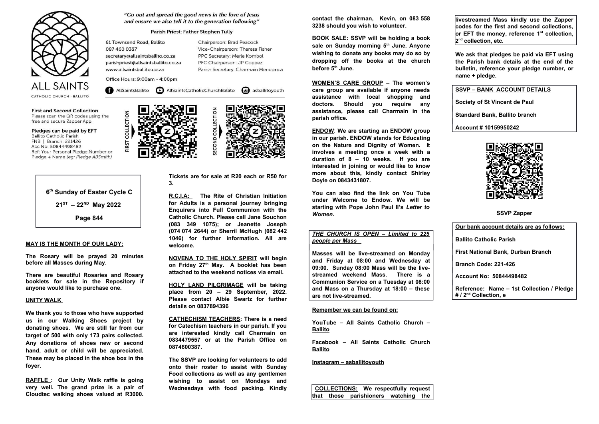

**First and Second Collection** Please scan the QR codes using the free and secure Zapper App.

Pledges can be paid by EFT

**Ballito Catholic Parish** FNB | Branch: 221426 Acc No: 50844498482 Ref: Your Personal Pledge Number or Pledge + Name (eq: Pledge ABSmith)



#### **MAY IS THE MONTH OF OUR LADY:**

**The Rosary will be prayed 20 minutes before all Masses during May.**

**There are beautiful Rosaries and Rosary booklets for sale in the Repository if anyone would like to purchase one.**

#### **UNITY WALK**

**We thank you to those who have supported us in our Walking Shoes project by donating shoes. We are still far from our target of 500 with only 173 pairs collected. Any donations of shoes new or second hand, adult or child will be appreciated. These may be placed in the shoe box in the foyer.**

**RAFFLE : Our Unity Walk raffle is going very well. The grand prize is a pair of Cloudtec walking shoes valued at R3000.**

"Go out and spread the good news in the love of Jesus and ensure we also tell it to the generation following"

#### Parish Priest: Father Stephen Tully

61 Townsend Road, Ballito 087 460 0387 secretary@allsaintsballito.co.za parishpriest@allsaintsballito.co.za www.allsaintsballito.co.za

Chairperson: Brad Peacock Vice-Chairperson: Theresa Fisher PPC Secretary: Merle Kombol PFC Chairperson: JP Coppez Parish Secretary: Charmain Mendonca

Office Hours: 9:00am - 4:00pm

COLLECTION

FIRST

AllSaintsBallito **D** AllSaintsCatholicChurchBallito **C** asballitoyouth





**Tickets are for sale at R20 each or R50 for 3.**

**R.C.I.A: The Rite of Christian Initiation for Adults is a personal journey bringing Enquirers into Full Communion with the Catholic Church. Please call Jane Souchon (083 349 1075); or Jeanette Joseph (074 074 2644) or Sherril McHugh (082 442 1046) for further information. All are welcome.** 

**NOVENA TO THE HOLY SPIRIT will begin on Friday 27th May. A booklet has been attached to the weekend notices via email.**

**HOLY LAND PILGRIMAGE will be taking place from 20 – 29 September, 2022. Please contact Albie Swartz for further details on 0837894396**

**CATHECHISM TEACHERS: There is a need for Catechism teachers in our parish. If you are interested kindly call Charmain on 0834479557 or at the Parish Office on 0874600387.**

**The SSVP are looking for volunteers to add onto their roster to assist with Sunday Food collections as well as any gentlemen wishing to assist on Mondays and Wednesdays with food packing. Kindly** **contact the chairman, Kevin, on 083 558 3238 should you wish to volunteer.**

**BOOK SALE: SSVP will be holding a book sale on Sunday morning 5th June. Anyone wishing to donate any books may do so by dropping off the books at the church before 5th June.**

**WOMEN'S CARE GROUP – The women's care group are available if anyone needs assistance with local shopping and doctors. Should you require any assistance, please call Charmain in the parish office.**

**ENDOW**: **We are starting an ENDOW group in our parish. ENDOW stands for Educating on the Nature and Dignity of Women. It involves a meeting once a week with a duration of 8 – 10 weeks. If you are interested in joining or would like to know more about this, kindly contact Shirley Doyle on 0843431807.**

**You can also find the link on You Tube under Welcome to Endow. We will be starting with Pope John Paul II's** *Letter to Women.*

#### *THE CHURCH IS OPEN – Limited to 225 people per Mass*

**Masses will be live-streamed on Monday and Friday at 08:00 and Wednesday at 09:00. Sunday 08:00 Mass will be the livestreamed weekend Mass. There is a Communion Service on a Tuesday at 08:00 and Mass on a Thursday at 18:00 – these are not live-streamed.**

#### **Remember we can be found on:**

**YouTube – All Saints Catholic Church – Ballito**

**Facebook – All Saints Catholic Church Ballito**

**Instagram – asballitoyouth**

 **COLLECTIONS: We respectfully request that those parishioners watching the** **livestreamed Mass kindly use the Zapper codes for the first and second collections, or EFT the money, reference 1st collection, 2 nd collection, etc.** 

**We ask that pledges be paid via EFT using the Parish bank details at the end of the bulletin, reference your pledge number, or name + pledge.** 

**SSVP – BANK ACCOUNT DETAILS**

**Society of St Vincent de Paul**

**Standard Bank, Ballito branch**

**Account # 10159950242**



**SSVP Zapper**

**Our bank account details are as follows: Ballito Catholic Parish First National Bank, Durban Branch Branch Code: 221-426 Account No: 50844498482 Reference: Name – 1st Collection / Pledge # / 2nd Collection, e**



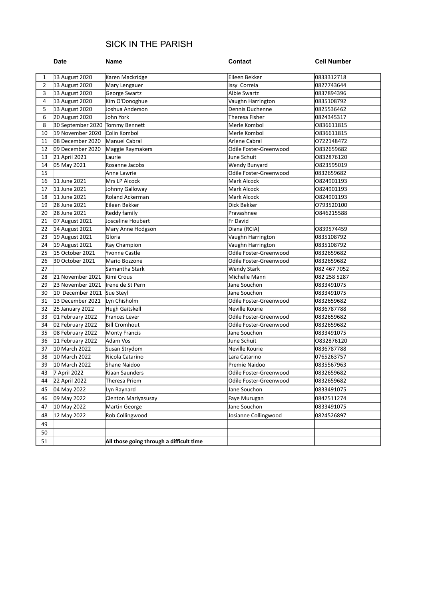## SICK IN THE PARISH

|                | <b>Date</b>                          | <b>Name</b>                                  | <b>Contact</b>                         | <b>Cell Number</b>       |  |
|----------------|--------------------------------------|----------------------------------------------|----------------------------------------|--------------------------|--|
| $\mathbf{1}$   | 13 August 2020                       | Karen Mackridge                              | Eileen Bekker                          | 0833312718               |  |
| $\overline{2}$ | 13 August 2020                       | Mary Lengauer                                | Issy Correia                           | 0827743644               |  |
| 3              | 13 August 2020                       | George Swartz                                | <b>Albie Swartz</b>                    | 0837894396               |  |
| 4              | 13 August 2020                       | Kim O'Donoghue                               | Vaughn Harrington                      | 0835108792               |  |
| 5              | 13 August 2020                       | Joshua Anderson                              | Dennis Duchenne                        | 0825536462               |  |
| 6              | 20 August 2020                       | John York                                    | <b>Theresa Fisher</b>                  | 0824345317               |  |
| 8              | 30 September 2020 Tommy Bennett      |                                              | Merle Kombol                           | 0836611815               |  |
| 10             | 19 November 2020                     | Colin Kombol                                 | Merle Kombol                           | 0836611815               |  |
| 11             | 08 December 2020                     | Manuel Cabral                                | Arlene Cabral                          | 0722148472               |  |
| 12             | 09 December 2020                     | Odile Foster-Greenwood<br>Maggie Raymakers   |                                        | 0832659682               |  |
| 13             | 21 April 2021                        | Laurie                                       | June Schuit                            | 0832876120               |  |
| 14             | 05 May 2021<br>Rosanne Jacobs        |                                              | Wendy Bunyard                          | 0823595019               |  |
| 15             |                                      | Anne Lawrie                                  | Odile Foster-Greenwood                 | 0832659682               |  |
| 16             | 11 June 2021                         | Mrs LP Alcock                                | Mark Alcock                            | 0824901193               |  |
| 17             | 11 June 2021                         | Johnny Galloway                              | Mark Alcock                            | 0824901193               |  |
| 18             | 11 June 2021                         | Roland Ackerman                              | <b>Mark Alcock</b>                     | 0824901193               |  |
| 19             | 28 June 2021                         | Eileen Bekker                                | Dick Bekker                            | 0793520100               |  |
| 20             | 28 June 2021                         | Reddy family                                 | Pravashnee                             | 0846215588               |  |
| 21             | 07 August 2021                       | Josceline Houbert                            | Fr David                               |                          |  |
| 22             | 14 August 2021                       | Mary Anne Hodgson                            | Diana (RCIA)                           | 0839574459               |  |
| 23             | 19 August 2021                       | Gloria                                       | Vaughn Harrington                      | 0835108792               |  |
| 24             | 19 August 2021                       | Ray Champion                                 | Vaughn Harrington                      | 0835108792               |  |
| 25             | 15 October 2021                      | Yvonne Castle                                | Odile Foster-Greenwood                 | 0832659682               |  |
| 26             | 30 October 2021                      | Mario Bozzone                                | Odile Foster-Greenwood                 | 0832659682               |  |
| 27             |                                      | Samantha Stark                               | <b>Wendy Stark</b>                     | 082 467 7052             |  |
| 28             | 21 November 2021                     | Kimi Crous                                   | Michelle Mann                          | 082 258 5287             |  |
| 29             | 23 November 2021                     | Irene de St Pern                             | Jane Souchon                           | 0833491075               |  |
| 30             | 10 December 2021 Sue Steyl           |                                              | Jane Souchon                           | 0833491075               |  |
| 31             | 13 December 2021                     | Lyn Chisholm                                 | Odile Foster-Greenwood                 | 0832659682               |  |
| 32             | 25 January 2022                      | Hugh Gaitskell                               | Neville Kourie                         | 0836787788               |  |
| 33             | 01 February 2022                     | <b>Frances Lever</b>                         | Odile Foster-Greenwood                 | 0832659682               |  |
| 34<br>35       | 02 February 2022                     | <b>Bill Cromhout</b><br><b>Monty Francis</b> | Odile Foster-Greenwood<br>Jane Souchon | 0832659682<br>0833491075 |  |
| 36             | 08 February 2022<br>11 February 2022 | Adam Vos                                     | June Schuit                            | 0832876120               |  |
| 37             | 10 March 2022                        | Susan Strydom                                | Neville Kourie                         | 0836787788               |  |
| 38             | 10 March 2022                        | Nicola Catarino                              | Lara Catarino                          | 0765263757               |  |
| 39             | 10 March 2022                        | Shane Naidoo                                 | Premie Naidoo                          | 0835567963               |  |
| 43             | 7 April 2022                         | Riaan Saunders                               | Odile Foster-Greenwood                 | 0832659682               |  |
| 44             | 22 April 2022                        | Theresa Priem                                | Odile Foster-Greenwood                 | 0832659682               |  |
| 45             | 04 May 2022                          |                                              | Jane Souchon                           | 0833491075               |  |
|                |                                      | Lyn Raynard                                  |                                        |                          |  |
| 46             | 09 May 2022                          | Clenton Mariyasusay                          | Faye Murugan                           | 0842511274               |  |
| 47             | 10 May 2022                          | Martin George                                | Jane Souchon                           | 0833491075               |  |
| 48             | 12 May 2022                          | Rob Collingwood                              | Josianne Collingwood                   | 0824526897               |  |
| 49             |                                      |                                              |                                        |                          |  |
| 50             |                                      |                                              |                                        |                          |  |
| 51             |                                      | All those going through a difficult time     |                                        |                          |  |